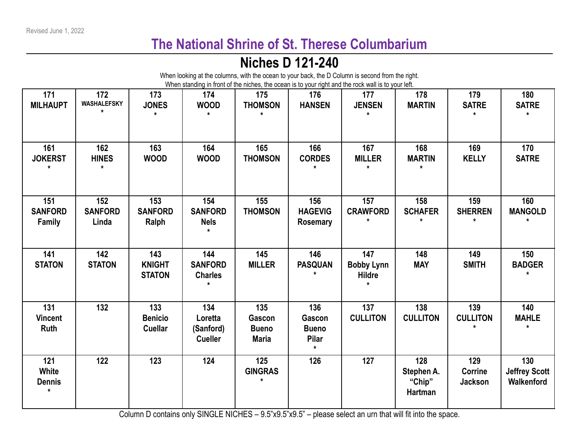## **The National Shrine of St. Therese Columbarium**

## **Niches D 121-240**

|                                          |                                |                                         |                                               |                                               |                                                          | When looking at the columns, with the ocean to your back, the D Column is second from the right.<br>When standing in front of the niches, the ocean is to your right and the rock wall is to your left. |                                               |                                         |                                           |
|------------------------------------------|--------------------------------|-----------------------------------------|-----------------------------------------------|-----------------------------------------------|----------------------------------------------------------|---------------------------------------------------------------------------------------------------------------------------------------------------------------------------------------------------------|-----------------------------------------------|-----------------------------------------|-------------------------------------------|
| 171<br><b>MILHAUPT</b>                   | 172<br><b>WASHALEFSKY</b>      | 173<br><b>JONES</b><br>$\star$          | 174<br><b>WOOD</b><br>$\star$                 | 175<br><b>THOMSON</b><br>$\star$              | 176<br><b>HANSEN</b>                                     | 177<br><b>JENSEN</b>                                                                                                                                                                                    | 178<br><b>MARTIN</b>                          | 179<br><b>SATRE</b><br>$\star$          | 180<br><b>SATRE</b><br>$\star$            |
| 161<br><b>JOKERST</b><br>$\star$         | 162<br><b>HINES</b><br>$\star$ | 163<br><b>WOOD</b>                      | 164<br><b>WOOD</b>                            | 165<br><b>THOMSON</b>                         | 166<br><b>CORDES</b>                                     | 167<br><b>MILLER</b><br>$\star$                                                                                                                                                                         | 168<br><b>MARTIN</b><br>$\star$               | 169<br><b>KELLY</b>                     | 170<br><b>SATRE</b>                       |
| 151<br><b>SANFORD</b><br>Family          | 152<br><b>SANFORD</b><br>Linda | 153<br><b>SANFORD</b><br>Ralph          | 154<br><b>SANFORD</b><br><b>Nels</b>          | 155<br><b>THOMSON</b>                         | 156<br><b>HAGEVIG</b><br><b>Rosemary</b>                 | 157<br><b>CRAWFORD</b>                                                                                                                                                                                  | 158<br><b>SCHAFER</b>                         | 159<br><b>SHERREN</b><br>$\star$        | 160<br><b>MANGOLD</b>                     |
| 141<br><b>STATON</b>                     | 142<br><b>STATON</b>           | 143<br><b>KNIGHT</b><br><b>STATON</b>   | 144<br><b>SANFORD</b><br><b>Charles</b>       | 145<br><b>MILLER</b>                          | 146<br><b>PASQUAN</b>                                    | 147<br><b>Bobby Lynn</b><br><b>Hildre</b>                                                                                                                                                               | 148<br><b>MAY</b>                             | 149<br><b>SMITH</b>                     | 150<br><b>BADGER</b>                      |
| 131<br><b>Vincent</b><br>Ruth            | 132                            | 133<br><b>Benicio</b><br><b>Cuellar</b> | 134<br>Loretta<br>(Sanford)<br><b>Cueller</b> | 135<br>Gascon<br><b>Bueno</b><br><b>Maria</b> | 136<br>Gascon<br><b>Bueno</b><br><b>Pilar</b><br>$\star$ | 137<br><b>CULLITON</b>                                                                                                                                                                                  | 138<br><b>CULLITON</b>                        | 139<br><b>CULLITON</b>                  | 140<br><b>MAHLE</b><br>$\star$            |
| 121<br>White<br><b>Dennis</b><br>$\star$ | 122                            | 123                                     | 124                                           | 125<br><b>GINGRAS</b><br>$\star$              | 126                                                      | 127                                                                                                                                                                                                     | 128<br>Stephen A.<br>"Chip"<br><b>Hartman</b> | 129<br><b>Corrine</b><br><b>Jackson</b> | 130<br><b>Jeffrey Scott</b><br>Walkenford |

Column D contains only SINGLE NICHES – 9.5"x9.5" - please select an urn that will fit into the space.